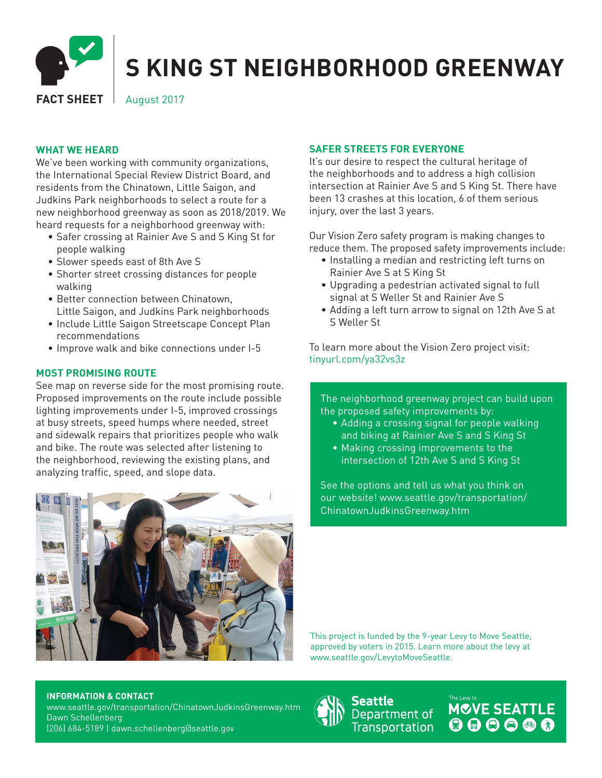

# **S KING ST NEIGHBORHOOD GREENWAY**

**FACT SHEET** August 2017

#### **WHAT WE HEARD**

We've been working with community organizations, the International Special Review District Board, and residents from the Chinatown, Little Saigon, and Judkins Park neighborhoods to select a route for a new neighborhood greenway as soon as 2018/2019. We heard requests for a neighborhood greenway with:

- Safer crossing at Rainier Ave S and S King St for people walking
- Slower speeds east of 8th Ave S
- Shorter street crossing distances for people walking
- Better connection between Chinatown, Little Saigon, and Judkins Park neighborhoods
- Include Little Saigon Streetscape Concept Plan recommendations
- Improve walk and bike connections under I-5

## **MOST PROMISING ROUTE**

See map on reverse side for the most promising route. Proposed improvements on the route include possible lighting improvements under I-5, improved crossings at busy streets, speed humps where needed, street and sidewalk repairs that prioritizes people who walk and bike. The route was selected after listening to the neighborhood, reviewing the existing plans, and analyzing traffic, speed, and slope data.



### **SAFER STREETS FOR EVERYONE**

It's our desire to respect the cultural heritage of the neighborhoods and to address a high collision intersection at Rainier Ave S and S King St. There have been 13 crashes at this location, 6 of them serious injury, over the last 3 years.

Our Vision Zero safety program is making changes to reduce them. The proposed safety improvements include:

- Installing a median and restricting left turns on Rainier Ave S at S King St
- Upgrading a pedestrian activated signal to full signal at S Weller St and Rainier Ave S
- Adding a left turn arrow to signal on 12th Ave S at S Weller St

To learn more about the Vision Zero project visit: tinyurl.com/ya32vs3z

The neighborhood greenway project can build upon the proposed safety improvements by:

- Adding a crossing signal for people walking and biking at Rainier Ave S and S King St
- Making crossing improvements to the intersection of 12th Ave S and S King St

See the options and tell us what you think on our website! www.seattle.gov/transportation/ ChinatownJudkinsGreenway.htm

This project is funded by the 9-year Levy to Move Seattle, approved by voters in 2015. Learn more about the levy at www.seattle.gov/LevytoMoveSeattle.

#### **INFORMATION & CONTACT**

www.seattle.gov/transportation/ChinatownJudkinsGreenway.htm Dawn Schellenberg (206) 684-5189 | dawn.schellenberg@seattle.gov



Seattle Department of **Transportation**  MOVE SEATTLE  $000000$